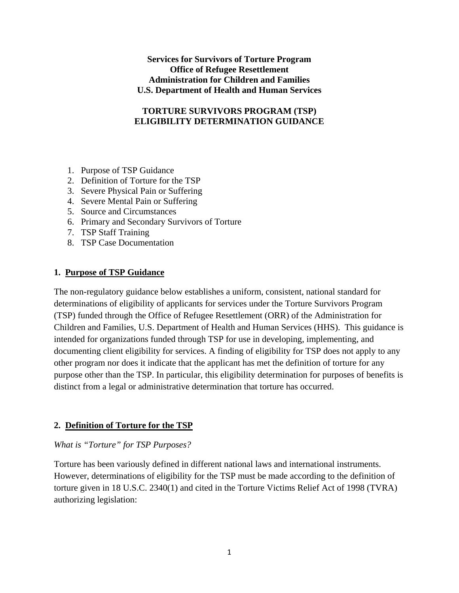### **Services for Survivors of Torture Program Office of Refugee Resettlement Administration for Children and Families U.S. Department of Health and Human Services**

## **TORTURE SURVIVORS PROGRAM (TSP) ELIGIBILITY DETERMINATION GUIDANCE**

- 1. Purpose of TSP Guidance
- 2. Definition of Torture for the TSP
- 3. Severe Physical Pain or Suffering
- 4. Severe Mental Pain or Suffering
- 5. Source and Circumstances
- 6. Primary and Secondary Survivors of Torture
- 7. TSP Staff Training
- 8. TSP Case Documentation

### **1. Purpose of TSP Guidance**

The non-regulatory guidance below establishes a uniform, consistent, national standard for determinations of eligibility of applicants for services under the Torture Survivors Program (TSP) funded through the Office of Refugee Resettlement (ORR) of the Administration for Children and Families, U.S. Department of Health and Human Services (HHS). This guidance is intended for organizations funded through TSP for use in developing, implementing, and documenting client eligibility for services. A finding of eligibility for TSP does not apply to any other program nor does it indicate that the applicant has met the definition of torture for any purpose other than the TSP. In particular, this eligibility determination for purposes of benefits is distinct from a legal or administrative determination that torture has occurred.

## **2. Definition of Torture for the TSP**

### *What is "Torture" for TSP Purposes?*

Torture has been variously defined in different national laws and international instruments. However, determinations of eligibility for the TSP must be made according to the definition of torture given in 18 U.S.C. 2340(1) and cited in the Torture Victims Relief Act of 1998 (TVRA) authorizing legislation: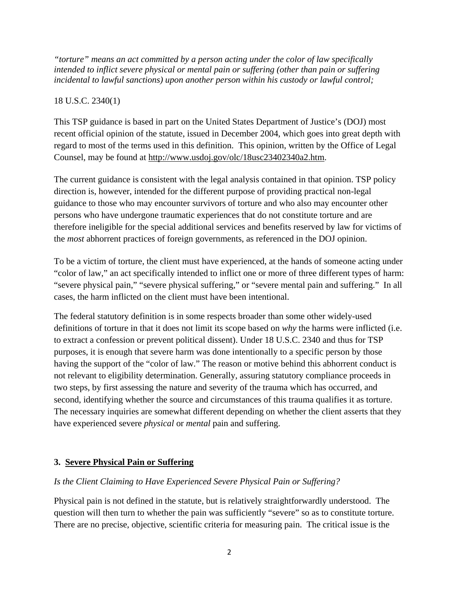*"torture" means an act committed by a person acting under the color of law specifically intended to inflict severe physical or mental pain or suffering (other than pain or suffering incidental to lawful sanctions) upon another person within his custody or lawful control;* 

## 18 U.S.C. 2340(1)

This TSP guidance is based in part on the United States Department of Justice's (DOJ) most recent official opinion of the statute, issued in December 2004, which goes into great depth with regard to most of the terms used in this definition. This opinion, written by the Office of Legal Counsel, may be found at [http://www.usdoj.gov/olc/18usc23402340a2.htm.](http://www.usdoj.gov/olc/18usc23402340a2.htm)

The current guidance is consistent with the legal analysis contained in that opinion. TSP policy direction is, however, intended for the different purpose of providing practical non-legal guidance to those who may encounter survivors of torture and who also may encounter other persons who have undergone traumatic experiences that do not constitute torture and are therefore ineligible for the special additional services and benefits reserved by law for victims of the *most* abhorrent practices of foreign governments, as referenced in the DOJ opinion.

To be a victim of torture, the client must have experienced, at the hands of someone acting under "color of law," an act specifically intended to inflict one or more of three different types of harm: "severe physical pain," "severe physical suffering," or "severe mental pain and suffering." In all cases, the harm inflicted on the client must have been intentional.

The federal statutory definition is in some respects broader than some other widely-used definitions of torture in that it does not limit its scope based on *why* the harms were inflicted (i.e. to extract a confession or prevent political dissent). Under 18 U.S.C. 2340 and thus for TSP purposes, it is enough that severe harm was done intentionally to a specific person by those having the support of the "color of law." The reason or motive behind this abhorrent conduct is not relevant to eligibility determination. Generally, assuring statutory compliance proceeds in two steps, by first assessing the nature and severity of the trauma which has occurred, and second, identifying whether the source and circumstances of this trauma qualifies it as torture. The necessary inquiries are somewhat different depending on whether the client asserts that they have experienced severe *physical* or *mental* pain and suffering.

# **3. Severe Physical Pain or Suffering**

## *Is the Client Claiming to Have Experienced Severe Physical Pain or Suffering?*

Physical pain is not defined in the statute, but is relatively straightforwardly understood. The question will then turn to whether the pain was sufficiently "severe" so as to constitute torture. There are no precise, objective, scientific criteria for measuring pain. The critical issue is the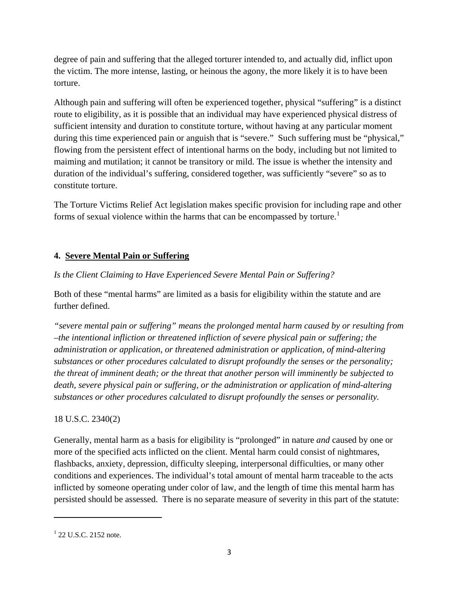degree of pain and suffering that the alleged torturer intended to, and actually did, inflict upon the victim. The more intense, lasting, or heinous the agony, the more likely it is to have been torture.

Although pain and suffering will often be experienced together, physical "suffering" is a distinct route to eligibility, as it is possible that an individual may have experienced physical distress of sufficient intensity and duration to constitute torture, without having at any particular moment during this time experienced pain or anguish that is "severe." Such suffering must be "physical," flowing from the persistent effect of intentional harms on the body, including but not limited to maiming and mutilation; it cannot be transitory or mild. The issue is whether the intensity and duration of the individual's suffering, considered together, was sufficiently "severe" so as to constitute torture.

The Torture Victims Relief Act legislation makes specific provision for including rape and other forms of sexual violence within the harms that can be encompassed by torture.<sup>[1](#page-2-0)</sup>

# **4. Severe Mental Pain or Suffering**

# *Is the Client Claiming to Have Experienced Severe Mental Pain or Suffering?*

Both of these "mental harms" are limited as a basis for eligibility within the statute and are further defined.

*"severe mental pain or suffering" means the prolonged mental harm caused by or resulting from –the intentional infliction or threatened infliction of severe physical pain or suffering; the administration or application, or threatened administration or application, of mind-altering substances or other procedures calculated to disrupt profoundly the senses or the personality; the threat of imminent death; or the threat that another person will imminently be subjected to death, severe physical pain or suffering, or the administration or application of mind-altering substances or other procedures calculated to disrupt profoundly the senses or personality.* 

# 18 U.S.C. 2340(2)

Generally, mental harm as a basis for eligibility is "prolonged" in nature *and* caused by one or more of the specified acts inflicted on the client. Mental harm could consist of nightmares, flashbacks, anxiety, depression, difficulty sleeping, interpersonal difficulties, or many other conditions and experiences. The individual's total amount of mental harm traceable to the acts inflicted by someone operating under color of law, and the length of time this mental harm has persisted should be assessed. There is no separate measure of severity in this part of the statute:

<span id="page-2-0"></span> $1$  22 U.S.C. 2152 note.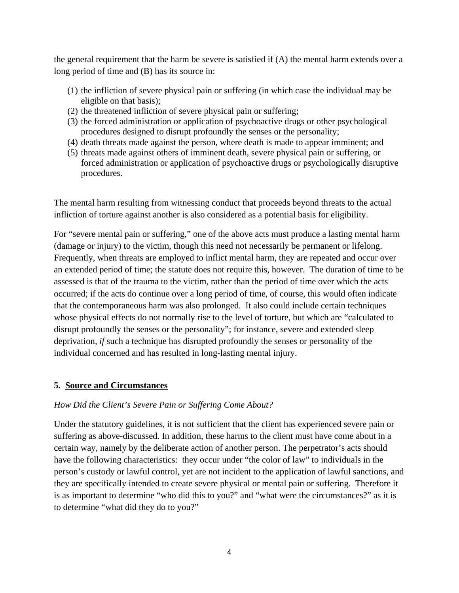the general requirement that the harm be severe is satisfied if (A) the mental harm extends over a long period of time and (B) has its source in:

- (1) the infliction of severe physical pain or suffering (in which case the individual may be eligible on that basis);
- (2) the threatened infliction of severe physical pain or suffering;
- (3) the forced administration or application of psychoactive drugs or other psychological procedures designed to disrupt profoundly the senses or the personality;
- (4) death threats made against the person, where death is made to appear imminent; and
- (5) threats made against others of imminent death, severe physical pain or suffering, or forced administration or application of psychoactive drugs or psychologically disruptive procedures.

The mental harm resulting from witnessing conduct that proceeds beyond threats to the actual infliction of torture against another is also considered as a potential basis for eligibility.

For "severe mental pain or suffering," one of the above acts must produce a lasting mental harm (damage or injury) to the victim, though this need not necessarily be permanent or lifelong. Frequently, when threats are employed to inflict mental harm, they are repeated and occur over an extended period of time; the statute does not require this, however. The duration of time to be assessed is that of the trauma to the victim, rather than the period of time over which the acts occurred; if the acts do continue over a long period of time, of course, this would often indicate that the contemporaneous harm was also prolonged. It also could include certain techniques whose physical effects do not normally rise to the level of torture, but which are "calculated to disrupt profoundly the senses or the personality"; for instance, severe and extended sleep deprivation, *if* such a technique has disrupted profoundly the senses or personality of the individual concerned and has resulted in long-lasting mental injury.

## **5. Source and Circumstances**

## *How Did the Client's Severe Pain or Suffering Come About?*

Under the statutory guidelines, it is not sufficient that the client has experienced severe pain or suffering as above-discussed. In addition, these harms to the client must have come about in a certain way, namely by the deliberate action of another person. The perpetrator's acts should have the following characteristics: they occur under "the color of law" to individuals in the person's custody or lawful control, yet are not incident to the application of lawful sanctions, and they are specifically intended to create severe physical or mental pain or suffering. Therefore it is as important to determine "who did this to you?" and "what were the circumstances?" as it is to determine "what did they do to you?"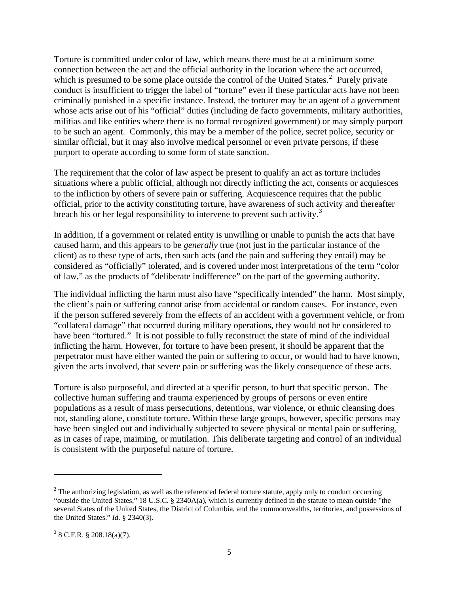Torture is committed under color of law, which means there must be at a minimum some connection between the act and the official authority in the location where the act occurred, which is presumed to be some place outside the control of the United States. $2$  Purely private conduct is insufficient to trigger the label of "torture" even if these particular acts have not been criminally punished in a specific instance. Instead, the torturer may be an agent of a government whose acts arise out of his "official" duties (including de facto governments, military authorities, militias and like entities where there is no formal recognized government) or may simply purport to be such an agent. Commonly, this may be a member of the police, secret police, security or similar official, but it may also involve medical personnel or even private persons, if these purport to operate according to some form of state sanction.

The requirement that the color of law aspect be present to qualify an act as torture includes situations where a public official, although not directly inflicting the act, consents or acquiesces to the infliction by others of severe pain or suffering. Acquiescence requires that the public official, prior to the activity constituting torture, have awareness of such activity and thereafter breach his or her legal responsibility to intervene to prevent such activity.<sup>[3](#page-4-1)</sup>

In addition, if a government or related entity is unwilling or unable to punish the acts that have caused harm, and this appears to be *generally* true (not just in the particular instance of the client) as to these type of acts, then such acts (and the pain and suffering they entail) may be considered as "officially" tolerated, and is covered under most interpretations of the term "color of law," as the products of "deliberate indifference" on the part of the governing authority.

The individual inflicting the harm must also have "specifically intended" the harm. Most simply, the client's pain or suffering cannot arise from accidental or random causes. For instance, even if the person suffered severely from the effects of an accident with a government vehicle, or from "collateral damage" that occurred during military operations, they would not be considered to have been "tortured." It is not possible to fully reconstruct the state of mind of the individual inflicting the harm. However, for torture to have been present, it should be apparent that the perpetrator must have either wanted the pain or suffering to occur, or would had to have known, given the acts involved, that severe pain or suffering was the likely consequence of these acts.

Torture is also purposeful, and directed at a specific person, to hurt that specific person. The collective human suffering and trauma experienced by groups of persons or even entire populations as a result of mass persecutions, detentions, war violence, or ethnic cleansing does not, standing alone, constitute torture. Within these large groups, however, specific persons may have been singled out and individually subjected to severe physical or mental pain or suffering, as in cases of rape, maiming, or mutilation. This deliberate targeting and control of an individual is consistent with the purposeful nature of torture.

<span id="page-4-0"></span><sup>&</sup>lt;sup>2</sup> The authorizing legislation, as well as the referenced federal torture statute, apply only to conduct occurring "outside the United States," 18 U.S.C. § 2340A(a), which is currently defined in the statute to mean outside "the several States of the United States, the District of Columbia, and the commonwealths, territories, and possessions of the United States." *Id.* § 2340(3).

<span id="page-4-1"></span> $3$  8 C.F.R. § 208.18(a)(7).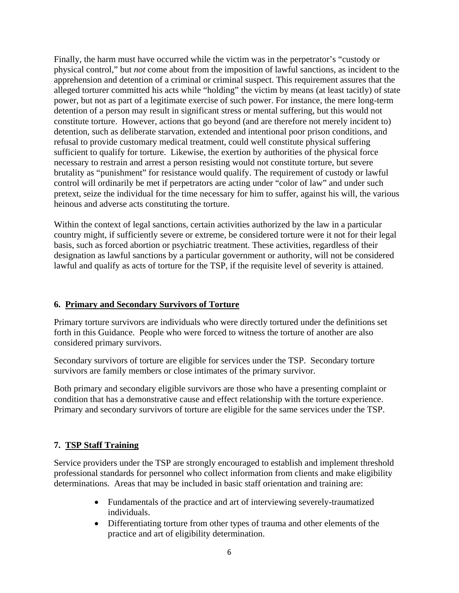Finally, the harm must have occurred while the victim was in the perpetrator's "custody or physical control," but *not* come about from the imposition of lawful sanctions, as incident to the apprehension and detention of a criminal or criminal suspect. This requirement assures that the alleged torturer committed his acts while "holding" the victim by means (at least tacitly) of state power, but not as part of a legitimate exercise of such power. For instance, the mere long-term detention of a person may result in significant stress or mental suffering, but this would not constitute torture. However, actions that go beyond (and are therefore not merely incident to) detention, such as deliberate starvation, extended and intentional poor prison conditions, and refusal to provide customary medical treatment, could well constitute physical suffering sufficient to qualify for torture. Likewise, the exertion by authorities of the physical force necessary to restrain and arrest a person resisting would not constitute torture, but severe brutality as "punishment" for resistance would qualify. The requirement of custody or lawful control will ordinarily be met if perpetrators are acting under "color of law" and under such pretext, seize the individual for the time necessary for him to suffer, against his will, the various heinous and adverse acts constituting the torture.

Within the context of legal sanctions, certain activities authorized by the law in a particular country might, if sufficiently severe or extreme, be considered torture were it not for their legal basis, such as forced abortion or psychiatric treatment. These activities, regardless of their designation as lawful sanctions by a particular government or authority, will not be considered lawful and qualify as acts of torture for the TSP, if the requisite level of severity is attained.

## **6. Primary and Secondary Survivors of Torture**

Primary torture survivors are individuals who were directly tortured under the definitions set forth in this Guidance. People who were forced to witness the torture of another are also considered primary survivors.

Secondary survivors of torture are eligible for services under the TSP. Secondary torture survivors are family members or close intimates of the primary survivor.

Both primary and secondary eligible survivors are those who have a presenting complaint or condition that has a demonstrative cause and effect relationship with the torture experience. Primary and secondary survivors of torture are eligible for the same services under the TSP.

## **7. TSP Staff Training**

Service providers under the TSP are strongly encouraged to establish and implement threshold professional standards for personnel who collect information from clients and make eligibility determinations. Areas that may be included in basic staff orientation and training are:

- Fundamentals of the practice and art of interviewing severely-traumatized individuals.
- Differentiating torture from other types of trauma and other elements of the practice and art of eligibility determination.